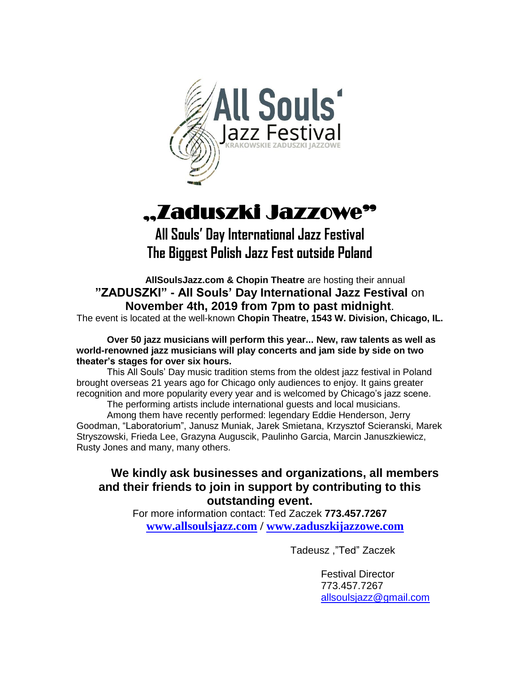

# "Zaduszki Jazzowe"

**All Souls' Day International Jazz Festival The Biggest Polish Jazz Fest outside Poland**

**AllSoulsJazz.com & Chopin Theatre** are hosting their annual **"ZADUSZKI" - All Souls' Day International Jazz Festival** on **November 4th, 2019 from 7pm to past midnight**.

The event is located at the well-known **Chopin Theatre, 1543 W. Division, Chicago, IL.**

#### **Over 50 jazz musicians will perform this year... New, raw talents as well as world-renowned jazz musicians will play concerts and jam side by side on two theater's stages for over six hours.**

This All Souls' Day music tradition stems from the oldest jazz festival in Poland brought overseas 21 years ago for Chicago only audiences to enjoy. It gains greater recognition and more popularity every year and is welcomed by Chicago's jazz scene.

The performing artists include international guests and local musicians. Among them have recently performed: legendary Eddie Henderson, Jerry Goodman, "Laboratorium", Janusz Muniak, Jarek Smietana, Krzysztof Scieranski, Marek Stryszowski, Frieda Lee, Grazyna Auguscik, Paulinho Garcia, Marcin Januszkiewicz, Rusty Jones and many, many others.

# **We kindly ask businesses and organizations, all members and their friends to join in support by contributing to this outstanding event.**

For more information contact: Ted Zaczek **773.457.7267 [www.allsoulsjazz.com](http://www.allsoulsjazz.com/) / [www.zaduszkijazzowe.com](http://www.zaduszkijazzowe.com/)**

Tadeusz ,"Ted" Zaczek

Festival Director 773.457.7267 [allsoulsjazz@gmail.com](mailto:allsoulsjazz@gmail.com)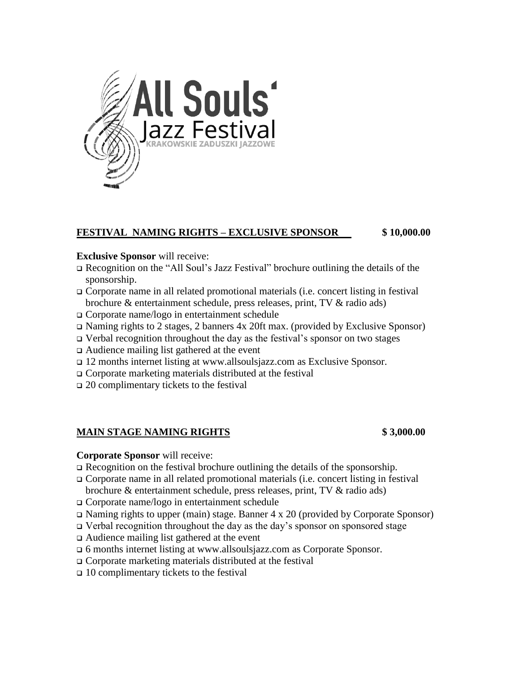

#### **FESTIVAL NAMING RIGHTS – EXCLUSIVE SPONSOR \$ 10,000.00**

#### **Exclusive Sponsor** will receive:

- ❑ Recognition on the "All Soul's Jazz Festival" brochure outlining the details of the sponsorship.
- ❑ Corporate name in all related promotional materials (i.e. concert listing in festival brochure & entertainment schedule, press releases, print, TV & radio ads)
- ❑ Corporate name/logo in entertainment schedule
- ❑ Naming rights to 2 stages, 2 banners 4x 20ft max. (provided by Exclusive Sponsor)
- ❑ Verbal recognition throughout the day as the festival's sponsor on two stages
- ❑ Audience mailing list gathered at the event
- ❑ 12 months internet listing at www.allsoulsjazz.com as Exclusive Sponsor.
- ❑ Corporate marketing materials distributed at the festival
- ❑ 20 complimentary tickets to the festival

### **MAIN STAGE NAMING RIGHTS \$ 3,000.00**

#### **Corporate Sponsor** will receive:

- ❑ Recognition on the festival brochure outlining the details of the sponsorship.
- ❑ Corporate name in all related promotional materials (i.e. concert listing in festival brochure & entertainment schedule, press releases, print, TV & radio ads)
- ❑ Corporate name/logo in entertainment schedule
- ❑ Naming rights to upper (main) stage. Banner 4 x 20 (provided by Corporate Sponsor)
- ❑ Verbal recognition throughout the day as the day's sponsor on sponsored stage
- ❑ Audience mailing list gathered at the event
- ❑ 6 months internet listing at www.allsoulsjazz.com as Corporate Sponsor.
- ❑ Corporate marketing materials distributed at the festival
- $\Box$  10 complimentary tickets to the festival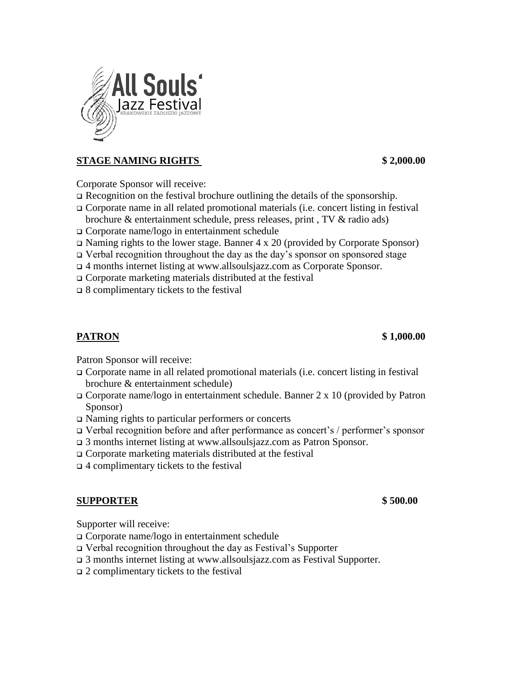

# **STAGE NAMING RIGHTS \$ 2,000.00**

Corporate Sponsor will receive:

- ❑ Recognition on the festival brochure outlining the details of the sponsorship.
- ❑ Corporate name in all related promotional materials (i.e. concert listing in festival brochure & entertainment schedule, press releases, print , TV & radio ads)
- ❑ Corporate name/logo in entertainment schedule
- ❑ Naming rights to the lower stage. Banner 4 x 20 (provided by Corporate Sponsor)
- ❑ Verbal recognition throughout the day as the day's sponsor on sponsored stage
- ❑ 4 months internet listing at www.allsoulsjazz.com as Corporate Sponsor.
- ❑ Corporate marketing materials distributed at the festival
- ❑ 8 complimentary tickets to the festival

### **PATRON \$ 1,000.00**

Patron Sponsor will receive:

- ❑ Corporate name in all related promotional materials (i.e. concert listing in festival brochure & entertainment schedule)
- $\Box$  Corporate name/logo in entertainment schedule. Banner 2 x 10 (provided by Patron Sponsor)
- ❑ Naming rights to particular performers or concerts
- ❑ Verbal recognition before and after performance as concert's / performer's sponsor
- ❑ 3 months internet listing at www.allsoulsjazz.com as Patron Sponsor.
- ❑ Corporate marketing materials distributed at the festival
- ❑ 4 complimentary tickets to the festival

#### **SUPPORTER \$ 500.00**

Supporter will receive:

- ❑ Corporate name/logo in entertainment schedule
- ❑ Verbal recognition throughout the day as Festival's Supporter
- ❑ 3 months internet listing at www.allsoulsjazz.com as Festival Supporter.
- $\Box$  2 complimentary tickets to the festival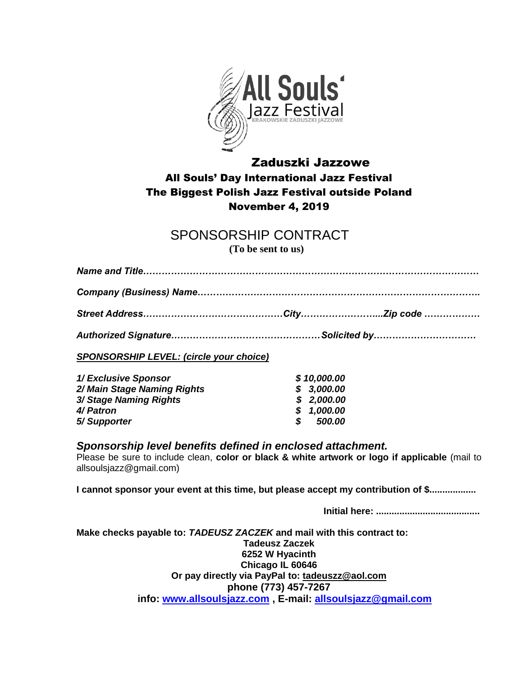

# Zaduszki Jazzowe All Souls' Day International Jazz Festival The Biggest Polish Jazz Festival outside Poland November 4, 2019

# SPONSORSHIP CONTRACT

**(To be sent to us)**

| $\mathbf{a}$ and $\mathbf{a}$ are the set of $\mathbf{a}$ and $\mathbf{a}$ are the set of $\mathbf{a}$ and $\mathbf{a}$ are the set of $\mathbf{a}$ |  |  |
|-----------------------------------------------------------------------------------------------------------------------------------------------------|--|--|

*Authorized Signature…………………………………………Solicited by……………………………*

*SPONSORSHIP LEVEL: (circle your choice)*

| 1/ Exclusive Sponsor        | \$10,000.00          |
|-----------------------------|----------------------|
| 2/ Main Stage Naming Rights | \$3,000.00           |
| 3/ Stage Naming Rights      | \$2,000.00           |
| 4/ Patron                   | \$1,000.00           |
| 5/Supporter                 | <i><b>500.00</b></i> |

#### *Sponsorship level benefits defined in enclosed attachment.*

Please be sure to include clean, **color or black & white artwork or logo if applicable** (mail to allsoulsjazz@gmail.com)

**I cannot sponsor your event at this time, but please accept my contribution of \$..................**

**Initial here: ........................................**

**Make checks payable to:** *TADEUSZ ZACZEK* **and mail with this contract to: Tadeusz Zaczek 6252 W Hyacinth Chicago IL 60646 Or pay directly via PayPal to: tadeuszz@aol.com phone (773) 457-7267 info: [www.allsoulsjazz.com](http://www.allsoulsjazz.com/) , E-mail: [allsoulsjazz@gmail.com](mailto:allsoulsjazz@gmail.com)**